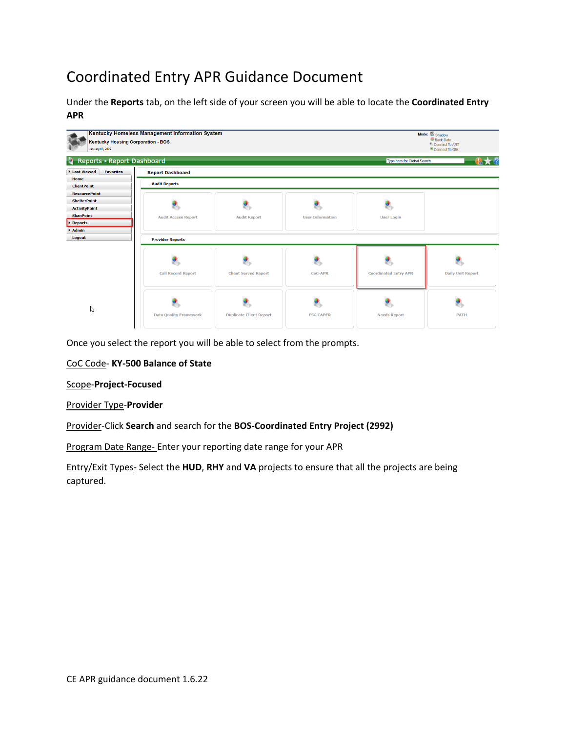# Coordinated Entry APR Guidance Document

Under the **Reports** tab, on the left side of your screen you will be able to locate the **Coordinated Entry APR**



Once you select the report you will be able to select from the prompts.

## CoC Code- **KY-500 Balance of State**

Scope-**Project-Focused**

### Provider Type-**Provider**

Provider-Click **Search** and search for the **BOS-Coordinated Entry Project (2992)**

Program Date Range- Enter your reporting date range for your APR

Entry/Exit Types- Select the **HUD**, **RHY** and **VA** projects to ensure that all the projects are being captured.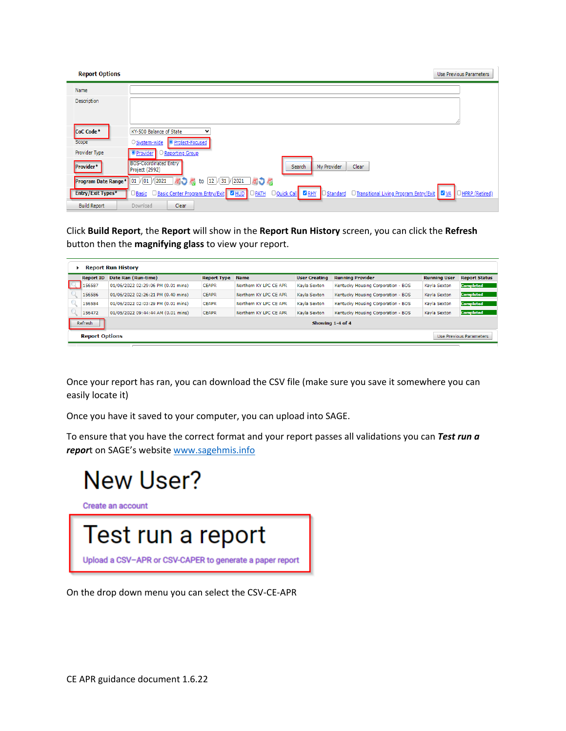| <b>Report Options</b>            |                                                                                                                                                                       | Use Previous Parameters |
|----------------------------------|-----------------------------------------------------------------------------------------------------------------------------------------------------------------------|-------------------------|
| Name                             |                                                                                                                                                                       |                         |
| Description                      |                                                                                                                                                                       |                         |
| CoC Code <sup>*</sup>            | KY-500 Balance of State<br>v                                                                                                                                          |                         |
| Scope                            | <b>O</b> Project-Focused<br>O System-wide                                                                                                                             |                         |
| <b>Provider Type</b>             | <b>O</b> Provider<br>Reporting Group                                                                                                                                  |                         |
| Provider*                        | <b>BOS-Coordinated Entry</b><br>My Provider<br>Clear<br>Search<br>Project (2992)                                                                                      |                         |
| Program Date Range* 01 /01 /2021 | to 12 / 31 / 2021 31 3                                                                                                                                                |                         |
| Entry/Exit Types*                | <b>Douick Call CRHY</b><br><b>D</b> Basic Center Program Entry/Exit 4 HUD<br>$\Box$ PATH<br>□ Transitional Living Program Entry/Exit   ■ VA<br>Standard<br>Basic<br>Ю | HPRP (Retired)          |
| <b>Build Report</b>              | Clear<br>Download                                                                                                                                                     |                         |

Click **Build Report**, the **Report** will show in the **Report Run History** screen, you can click the **Refresh**  button then the **magnifying glass** to view your report.

| <b>Report Run History</b>                        |                             |                                    |                    |                        |                      |                                    |                     |                      |  |  |  |
|--------------------------------------------------|-----------------------------|------------------------------------|--------------------|------------------------|----------------------|------------------------------------|---------------------|----------------------|--|--|--|
|                                                  | <b>Report ID</b>            | Date Ran (Run-time)                | <b>Report Type</b> | <b>Name</b>            | <b>User Creating</b> | <b>Running Provider</b>            | <b>Running User</b> | <b>Report Status</b> |  |  |  |
|                                                  | 156587                      | 01/06/2022 02:29:06 PM (0.01 mins) | <b>CEAPR</b>       | Northern KY LPC CE APR | Kayla Sexton         | Kentucky Housing Corporation - BOS | Kayla Sexton        | <b>Completed</b>     |  |  |  |
|                                                  | 156586                      | 01/06/2022 02:26:21 PM (0.40 mins) | <b>CEAPR</b>       | Northern KY LPC CE APR | Kavla Sexton         | Kentucky Housing Corporation - BOS | Kayla Sexton        | <b>Completed</b>     |  |  |  |
|                                                  | 156584                      | 01/06/2022 02:03:29 PM (0.01 mins) | <b>CEAPR</b>       | Northern KY LPC CE APR | Kavla Sexton         | Kentucky Housing Corporation - BOS | Kavla Sexton        | <b>Completed</b>     |  |  |  |
|                                                  | 156472                      | 01/05/2022 09:44:44 AM (0.01 mins) | <b>CEAPR</b>       | Northern KY LPC CE APR | Kayla Sexton         | Kentucky Housing Corporation - BOS | Kayla Sexton        | <b>Completed</b>     |  |  |  |
|                                                  | Refresh<br>Showing 1-4 of 4 |                                    |                    |                        |                      |                                    |                     |                      |  |  |  |
| <b>Report Options</b><br>Use Previous Parameters |                             |                                    |                    |                        |                      |                                    |                     |                      |  |  |  |

Once your report has ran, you can download the CSV file (make sure you save it somewhere you can easily locate it)

Once you have it saved to your computer, you can upload into SAGE.

To ensure that you have the correct format and your report passes all validations you can *Test run a repor*t on SAGE's website [www.sagehmis.info](http://www.sagehmis.info/)



Create an account



On the drop down menu you can select the CSV-CE-APR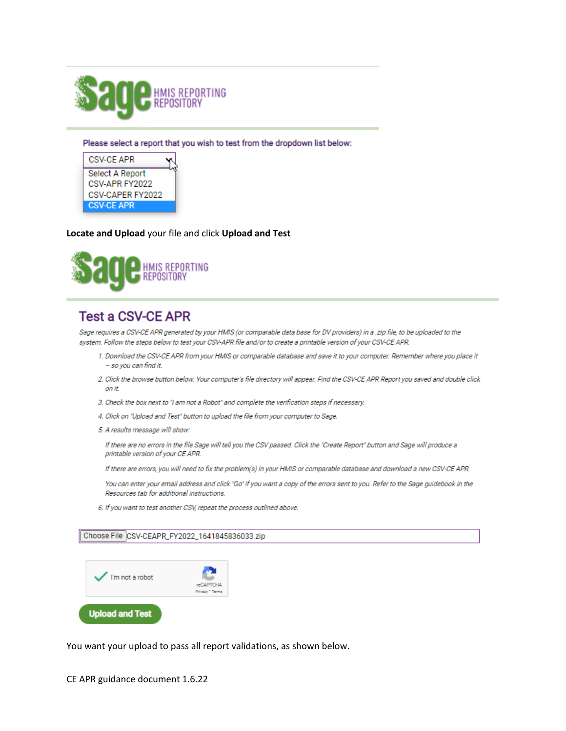

Please select a report that you wish to test from the dropdown list below:



#### Locate and Upload your file and click Upload and Test



# **Test a CSV-CE APR**

Sage requires a CSV-CE APR generated by your HMIS (or comparable data base for DV providers) in a .zip file, to be uploaded to the system. Follow the steps below to test your CSV-APR file and/or to create a printable version of your CSV-CE APR.

- 1. Download the CSV-CE APR from your HMIS or comparable database and save it to your computer. Remember where you place it - so you can find it.
- 2. Click the browse button below. Your computer's file directory will appear. Find the CSV-CE APR Report you saved and double click on it.
- 3. Check the box next to "I am not a Robot" and complete the verification steps if necessary.
- 4. Click on "Upload and Test" button to upload the file from your computer to Sage.
- 5. A results message will show:

If there are no errors in the file Sage will tell you the CSV passed. Click the "Create Report" button and Sage will produce a printable version of your CE APR.

If there are errors, you will need to fix the problem(s) in your HMIS or comparable database and download a new CSV-CE APR.

You can enter your email address and click "Go" if you want a copy of the errors sent to you. Refer to the Sage guidebook in the Resources tab for additional instructions.

6. If you want to test another CSV, repeat the process outlined above.

Choose File CSV-CEAPR\_FY2022\_1641845836033.zip



You want your upload to pass all report validations, as shown below.

CE APR guidance document 1.6.22